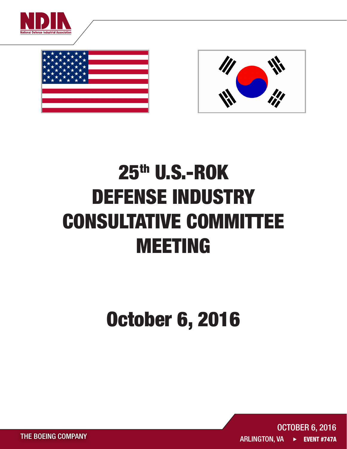



# 25th U.S.-ROK DEFENSE INDUSTRY CONSULTATIVE COMMITTEE MEETING

## October 6, 2016

OCTOBER 6, 2016 ARLINGTON, VA > EVENT #747A

THE BOEING COMPANY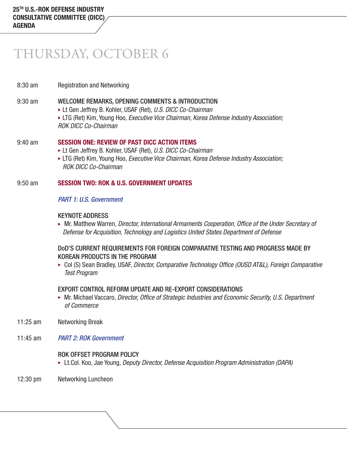### THURSDAY, OCTOBER 6

- 8:30 am Registration and Networking
- 9:30 am WELCOME REMARKS, OPENING COMMENTS & INTRODUCTION
	- ► Lt Gen Jeffrey B. Kohler, USAF (Ret), *U.S. DICC Co-Chairman*
	- ► LTG (Ret) Kim, Young Hoo, *Executive Vice Chairman, Korea Defense Industry Association; ROK DICC Co-Chairman*
- 9:40 am SESSION ONE: REVIEW OF PAST DICC ACTION ITEMS
	- ► Lt Gen Jeffrey B. Kohler, USAF (Ret), *U.S. DICC Co-Chairman*
	- ► LTG (Ret) Kim, Young Hoo, *Executive Vice Chairman, Korea Defense Industry Association; ROK DICC Co-Chairman*

#### 9:50 am SESSION TWO: ROK & U.S. GOVERNMENT UPDATES

#### *PART 1: U.S. Government*

#### KEYNOTE ADDRESS

► Mr. Matthew Warren, *Director, International Armaments Cooperation, Office of the Under Secretary of Defense for Acquisition, Technology and Logistics United States Department of Defense* 

#### DoD'S CURRENT REQUIREMENTS FOR FOREIGN COMPARATIVE TESTING AND PROGRESS MADE BY KOREAN PRODUCTS IN THE PROGRAM

► Col (S) Sean Bradley, USAF, *Director, Comparative Technology Office (OUSD AT&L), Foreign Comparative Test Program* 

#### EXPORT CONTROL REFORM UPDATE AND RE-EXPORT CONSIDERATIONS

- ► Mr. Michael Vaccaro, *Director, Office of Strategic Industries and Economic Security, U.S. Department of Commerce*
- 11:25 am Networking Break
- 11:45 am *PART 2: ROK Government*

#### ROK OFFSET PROGRAM POLICY

- ► Lt.Col. Koo, Jae Young, *Deputy Director, Defense Acquisition Program Administration (DAPA)*
- 12:30 pm Networking Luncheon